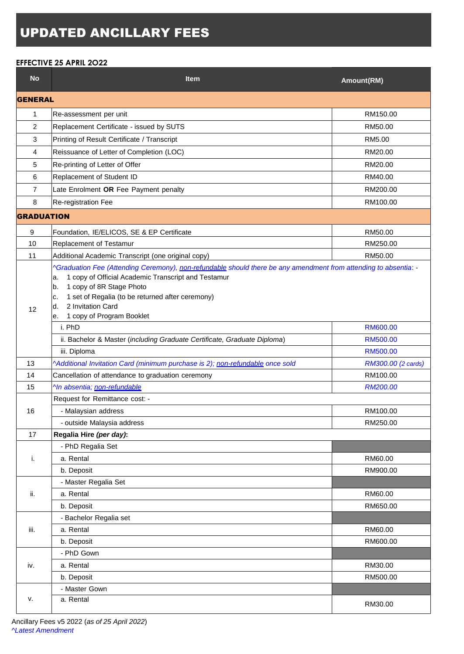## UPDATED ANCILLARY FEES

## **EFFECTIVE 25 APRIL 2O22**

| <b>No</b>         | <b>Item</b>                                                                                                                                                                                                                                                                                                                             | Amount(RM)         |  |
|-------------------|-----------------------------------------------------------------------------------------------------------------------------------------------------------------------------------------------------------------------------------------------------------------------------------------------------------------------------------------|--------------------|--|
| <b>GENERAL</b>    |                                                                                                                                                                                                                                                                                                                                         |                    |  |
| 1                 | Re-assessment per unit                                                                                                                                                                                                                                                                                                                  | RM150.00           |  |
| $\overline{c}$    | Replacement Certificate - issued by SUTS                                                                                                                                                                                                                                                                                                | RM50.00            |  |
| 3                 | Printing of Result Certificate / Transcript                                                                                                                                                                                                                                                                                             | RM5.00             |  |
| 4                 | Reissuance of Letter of Completion (LOC)                                                                                                                                                                                                                                                                                                | RM20.00            |  |
| 5                 | Re-printing of Letter of Offer                                                                                                                                                                                                                                                                                                          | RM20.00            |  |
| 6                 | Replacement of Student ID                                                                                                                                                                                                                                                                                                               | RM40.00            |  |
| $\overline{7}$    | Late Enrolment OR Fee Payment penalty                                                                                                                                                                                                                                                                                                   | RM200.00           |  |
| 8                 | Re-registration Fee                                                                                                                                                                                                                                                                                                                     | RM100.00           |  |
| <b>GRADUATION</b> |                                                                                                                                                                                                                                                                                                                                         |                    |  |
| 9                 | Foundation, IE/ELICOS, SE & EP Certificate                                                                                                                                                                                                                                                                                              | RM50.00            |  |
| 10                | Replacement of Testamur                                                                                                                                                                                                                                                                                                                 | RM250.00           |  |
| 11                | Additional Academic Transcript (one original copy)                                                                                                                                                                                                                                                                                      | RM50.00            |  |
| 12                | ^Graduation Fee (Attending Ceremony), non-refundable should there be any amendment from attending to absentia: -<br>1 copy of Official Academic Transcript and Testamur<br>a.<br>1 copy of 8R Stage Photo<br>b.<br>1 set of Regalia (to be returned after ceremony)<br>c.<br>2 Invitation Card<br>d.<br>1 copy of Program Booklet<br>е. |                    |  |
|                   | i. PhD                                                                                                                                                                                                                                                                                                                                  | RM600.00           |  |
|                   | ii. Bachelor & Master (including Graduate Certificate, Graduate Diploma)                                                                                                                                                                                                                                                                | RM500.00           |  |
|                   | iii. Diploma                                                                                                                                                                                                                                                                                                                            | RM500.00           |  |
| 13                | ^Additional Invitation Card (minimum purchase is 2); non-refundable once sold                                                                                                                                                                                                                                                           | RM300.00 (2 cards) |  |
| 14                | Cancellation of attendance to graduation ceremony                                                                                                                                                                                                                                                                                       | RM100.00           |  |
| 15                | ^In absentia; non-refundable                                                                                                                                                                                                                                                                                                            | RM200.00           |  |
|                   | Request for Remittance cost: -                                                                                                                                                                                                                                                                                                          |                    |  |
| 16                | - Malaysian address                                                                                                                                                                                                                                                                                                                     | RM100.00           |  |
|                   | - outside Malaysia address                                                                                                                                                                                                                                                                                                              | RM250.00           |  |
| 17                | Regalia Hire (per day):                                                                                                                                                                                                                                                                                                                 |                    |  |
| i.                | - PhD Regalia Set                                                                                                                                                                                                                                                                                                                       |                    |  |
|                   | a. Rental                                                                                                                                                                                                                                                                                                                               | RM60.00            |  |
|                   | b. Deposit                                                                                                                                                                                                                                                                                                                              | RM900.00           |  |
| ii.               | - Master Regalia Set                                                                                                                                                                                                                                                                                                                    |                    |  |
|                   | a. Rental                                                                                                                                                                                                                                                                                                                               | RM60.00            |  |
|                   | b. Deposit                                                                                                                                                                                                                                                                                                                              | RM650.00           |  |
| iii.              | - Bachelor Regalia set                                                                                                                                                                                                                                                                                                                  |                    |  |
|                   | a. Rental                                                                                                                                                                                                                                                                                                                               | RM60.00            |  |
|                   | b. Deposit                                                                                                                                                                                                                                                                                                                              | RM600.00           |  |
| iv.               | - PhD Gown                                                                                                                                                                                                                                                                                                                              |                    |  |
|                   | a. Rental                                                                                                                                                                                                                                                                                                                               | RM30.00            |  |
|                   | b. Deposit                                                                                                                                                                                                                                                                                                                              | RM500.00           |  |
| v.                | - Master Gown                                                                                                                                                                                                                                                                                                                           |                    |  |
|                   | a. Rental                                                                                                                                                                                                                                                                                                                               | RM30.00            |  |